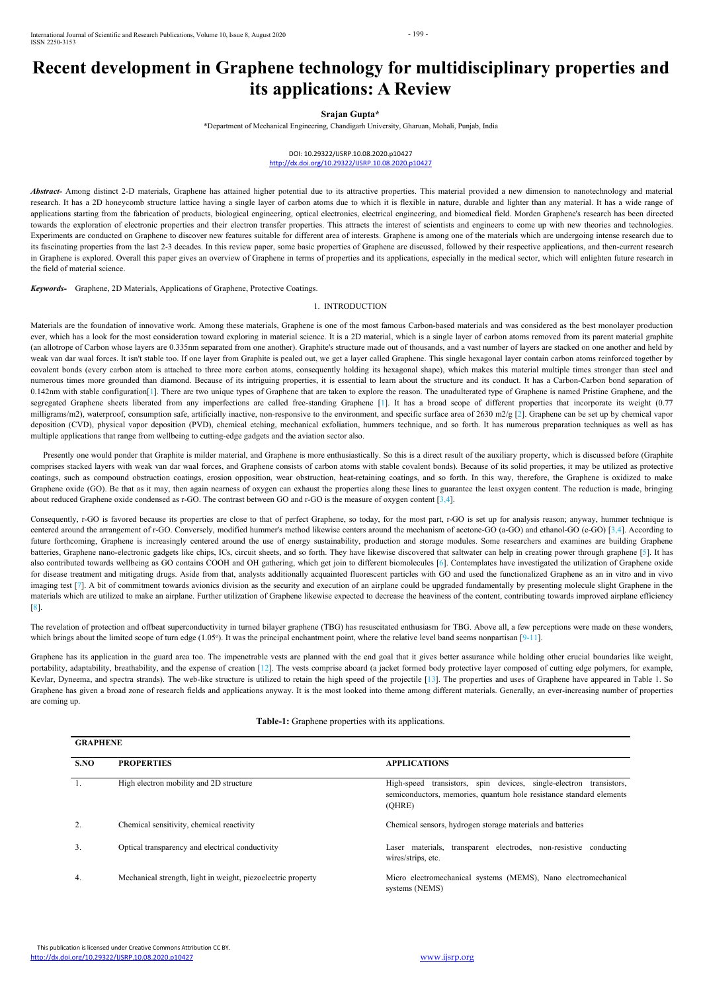

# **Recent development in Graphene technology for multidisciplinary properties and its applications: A Review**

# **Srajan Gupta\***

\*Department of Mechanical Engineering, Chandigarh University,Gharuan, Mohali, Punjab, India

# DOI: 10.29322/IJSRP.10.08.2020.p10427 <http://dx.doi.org/10.29322/IJSRP.10.08.2020.p10427>

*Abstract*- Among distinct 2-D materials, Graphene has attained higher potential due to its attractive properties. This material provided a new dimension to nanotechnology and material research. It has a 2D honeycomb structure lattice having a single layer of carbon atoms due to which it is flexible in nature, durable and lighter than any material. It has a wide range of applications starting from the fabrication of products, biological engineering, optical electronics, electrical engineering, and biomedical field. Morden Graphene's research has been directed towards the exploration of electronic properties and their electron transfer properties. This attracts the interest of scientists and engineers to come up with new theories and technologies. Experiments are conducted on Graphene to discover new features suitable for different area of interests. Graphene is among one of the materials which are undergoing intense research due to its fascinating properties from the last 2-3 decades. In this review paper, some basic properties of Graphene are discussed, followed by their respective applications, and then-current research in Graphene is explored. Overall this paper gives an overview of Graphene in terms of properties and its applications, especially in the medical sector, which will enlighten future research in the field of material science.

*Keywords*- Graphene, 2D Materials, Applications of Graphene, Protective Coatings.<br>1. INTRODUCTION

Materials are the foundation of innovative work. Among these materials, Graphene is one of the most famous Carbon-based materials and was considered as the best monolayer production ever, which has a look for the most consideration toward exploring in material science. It is a 2D material, which is a single layer of carbon atoms removed from its parent material graphite (an allotrope of Carbon whose layers are 0.335nm separated from one another). Graphite's structure made out of thousands, and a vast number of layers are stacked on one another and held by weak van dar waal forces. It isn't stable too. If one layer from Graphite is pealed out, we get a layer called Graphene. This single hexagonal layer contain carbon atoms reinforced together by covalent bonds (every carbon atom is attached to three more carbon atoms, consequently holding its hexagonal shape), which makes this material multiple times stronger than steel and numerous times more grounded than diamond. Because of its intriguing properties, it is essential to learn about the structure and its conduct. It has a Carbon-Carbon bond separation of 0.142nm with stable configuration[1]. There are two unique types of Graphene that are taken to explore the reason. The unadulterated type of Graphene is named Pristine Graphene, and the segregated Graphene sheets liberated from any imperfections are called free-standing Graphene [1]. It has a broad scope of different properties that incorporate its weight (0.77) milligrams/m2), waterproof, consumption safe, artificially inactive, non-responsive to the environment, and specific surface area of 2630 m2/g [2]. Graphene can be set up by chemical vapor deposition (CVD), physical vapor deposition (PVD), chemical etching, mechanical exfoliation, hummers technique, and so forth. It has numerous preparation techniques as well as has multiple applications that range from wellbeing to cutting-edge gadgets and the aviation sector also.

Presently one would ponder that Graphite is milder material, and Graphene is more enthusiastically. So this is a direct result of the auxiliary property, which is discussed before (Graphite comprises stacked layers with weak van dar waal forces, and Graphene consists of carbon atoms with stable covalent bonds). Because of its solid properties, it may be utilized as protective coatings, such as compound obstruction coatings, erosion opposition, wear obstruction, heat-retaining coatings, and so forth. In this way, therefore, the Graphene is oxidized to make Graphene oxide (GO). Be that as it may, then again nearness of oxygen can exhaust the properties along these lines to guarantee the least oxygen content. The reduction is made, bringing about reduced Graphene oxide condensed as r-GO. The contrast between GO and r-GO is the measure of oxygen content  $[3,4]$ .

The revelation of protection and offbeat superconductivity in turned bilayer graphene (TBG) has resuscitated enthusiasm for TBG. Above all, a few perceptions were made on these wonders, which brings about the limited scope of turn edge (1.05°). It was the principal enchantment point, where the relative level band seems nonpartisan [9-11].

1. High electron mobility and 2D structure High-speed transistors, spin devices, single-electron transistors, semiconductors, memories, quantum hole resistance standard elements (QHRE)

Consequently, r-GO is favored because its properties are close to that of perfect Graphene, so today, for the most part, r-GO is set up for analysis reason; anyway, hummer technique is centered around the arrangement of r-GO. Conversely, modified hummer's method likewise centers around the mechanism of acetone-GO (a-GO) and ethanol-GO (e-GO) [3,4]. According to future forthcoming, Graphene is increasingly centered around the use of energy sustainability, production and storage modules. Some researchers and examines are building Graphene batteries, Graphene nano-electronic gadgets like chips, ICs, circuit sheets, and so forth. They have likewise discovered that saltwater can help in creating power through graphene [5]. It has also contributed towards wellbeing as GO contains COOH and OH gathering, which get join to different biomolecules [6]. Contemplates have investigated the utilization of Graphene oxide for disease treatment and mitigating drugs. Aside from that, analysts additionally acquainted fluorescent particles with GO and used the functionalized Graphene as an in vitro and in vivo imaging test [7]. A bit of commitment towards avionics division as the security and execution of an airplane could be upgraded fundamentally by presenting molecule slight Graphene in the materials which are utilized to make an airplane. Further utilization of Graphene likewise expected to decrease the heaviness ofthe content, contributing towards improved airplane efficiency [8].

Graphene has its application in the guard area too. The impenetrable vests are planned with the end goal that it gives better assurance while holding other crucial boundaries like weight, portability, adaptability, breathability, and the expense of creation [12]. The vests comprise aboard (a jacket formed body protective layer composed of cutting edge polymers, for example, Kevlar, Dyneema, and spectra strands). The web-like structure is utilized to retain the high speed of the projectile [13]. The properties and uses of Graphene have appeared in Table 1. So Graphene has given a broad zone of research fields and applications anyway. It is the most looked into theme among different materials. Generally, an ever-increasing number of properties are coming up.

**Table-1:** Graphene properties with its applications.

### **S.NO PROPERTIES APPLICATIONS**

2. Chemical sensitivity, chemical reactivity Chemical sensors, hydrogen storage materials and batteries

3. Optical transparency and electrical conductivity Laser materials, transparent electrodes, non-resistive conducting wires/strips, etc.

- 
- 4. Mechanical strength, light in weight, piezoelectric property Micro electromechanical systems (MEMS), Nano electromechanical

systems (NEMS)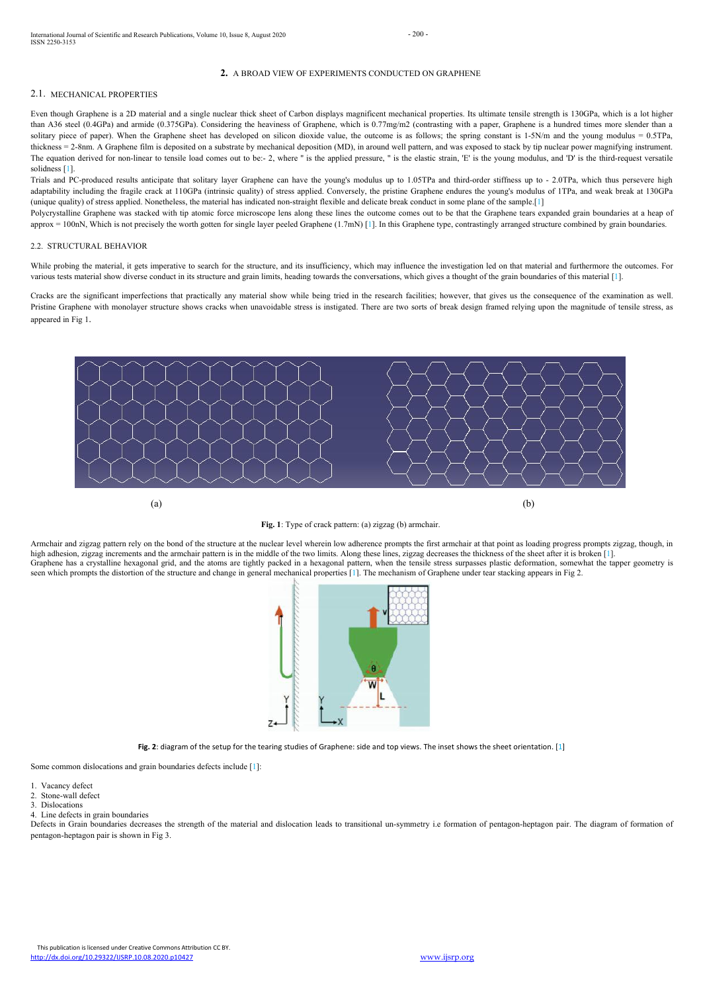Even though Graphene isa 2D material and a single nuclear thick sheet of Carbon displays magnificent mechanical properties. Its ultimate tensile strength is 130GPa, which is a lot higher than A36 steel (0.4GPa) and armide (0.375GPa). Considering the heaviness of Graphene, which is 0.77mg/m2 (contrasting with a paper, Graphene is a hundred times more slender than a solitary piece of paper). When the Graphene sheet has developed on silicon dioxide value, the outcome is as follows; the spring constant is  $1-5N/m$  and the young modulus = 0.5TPa, thickness = 2-8nm. A Graphene film is deposited on a substrate by mechanical deposition (MD), in around well pattern, and was exposed to stack by tip nuclear power magnifying instrument. The equation derived for non-linear to tensile load comes out to be:- 2, where " is the applied pressure, " is the elastic strain, 'E' is the young modulus, and 'D' is the third-request versatile solidness [1].

This publication is licensed under Creative Commons Attribution CC BY. <http://dx.doi.org/10.29322/IJSRP.10.08.2020.p10427> [www.ijsrp.org](http://ijsrp.org/)



# **2.** A BROAD VIEW OF EXPERIMENTS CONDUCTED ON GRAPHENE

# 2.1. MECHANICAL PROPERTIES

Trials and PC-produced results anticipate that solitary layer Graphene can have the young's modulus up to 1.05TPa and third-order stiffness up to - 2.0TPa, which thus persevere high adaptability including the fragile crack at 110GPa (intrinsic quality) of stress applied. Conversely, the pristine Graphene endures the young's modulus of 1TPa, and weak break at 130GPa (unique quality) of stress applied. Nonetheless, the material has indicated non-straight flexible and delicate break conduct in some plane of the sample.[1]

Polycrystalline Graphene was stacked with tip atomic force microscope lens along these lines the outcome comes out to be that the Graphene tears expanded grain boundaries at a heap of approx = 100nN, Which is not precisely the worth gotten for single layer peeled Graphene  $(1.7mN)$  [1]. In this Graphene type, contrastingly arranged structure combined by grain boundaries.

Defects in Grain boundaries decreases the strength of the material and dislocation leads to transitional un-symmetry i.e formation of pentagon-heptagon pair. The diagram of formation of pentagon-heptagon pair is shown in Fig 3.

# 2.2. STRUCTURAL BEHAVIOR

While probing the material, it gets imperative to search for the structure, and its insufficiency, which may influence the investigation led on that material and furthermore the outcomes. For various tests material show diverse conduct in its structure and grain limits, heading towards the conversations, which gives a thought of the grain boundaries of this material [1].

Cracks are the significant imperfections that practically any material show while being tried in the research facilities; however, that gives us the consequence of the examination as well. Pristine Graphene with monolayer structure shows cracks when unavoidable stress is instigated. There are two sorts of break design framed relying upon the magnitude of tensile stress, as appeared in Fig 1.





Armchair and zigzag pattern rely on the bond of the structure at the nuclear level wherein low adherence prompts the first armchair at that point as loading progress prompts zigzag, though, in high adhesion, zigzag increments and the armchair pattern is in the middle of the two limits. Along these lines, zigzag decreases the thickness of the sheet after it is broken [1]. Graphene has a crystalline hexagonal grid, and the atoms are tightly packed in a hexagonal pattern, when the tensile stress surpasses plastic deformation, somewhat the tapper geometry is seen which prompts the distortion of the structure and change in general mechanical properties [1]. The mechanism of Graphene under tear stacking appears in Fig 2.



Some common dislocations and grain boundaries defects include [1]:

- 1. Vacancy defect
- 2. Stone-wall defect
- 3. Dislocations
- 4. Line defects in grain boundaries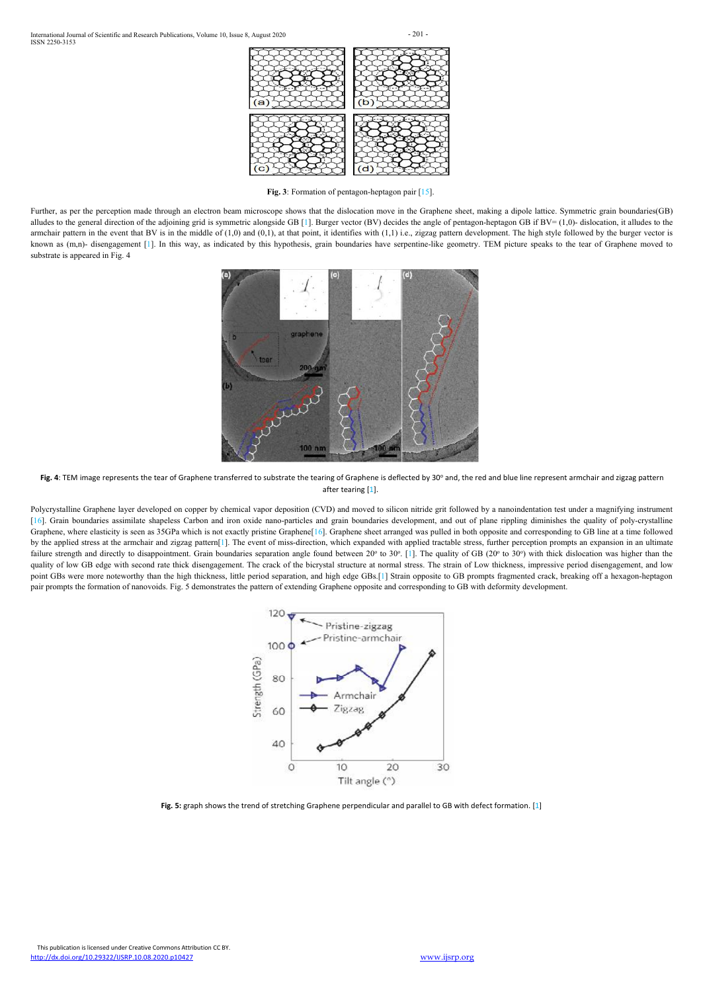

**Fig.** 3: Formation of pentagon-heptagon pair [15].





Fig. 4: TEM image represents the tear of Graphene transferred to substrate the tearing of Graphene is deflected by 30° and, the red and blue line represent armchair and zigzag pattern after tearing [1].

Further, as per the perception made through an electron beam microscope shows that the dislocation move in the Graphene sheet, making a dipole lattice. Symmetric grain boundaries(GB) alludes to the general direction of the adjoining grid is symmetric alongside GB [1]. Burger vector (BV) decides the angle of pentagon-heptagon GB if  $BV = (1,0)$ - dislocation, it alludes to the armchair pattern in the event that BV is in the middle of  $(1,0)$  and  $(0,1)$ , at that point, it identifies with  $(1,1)$  i.e., zigzag pattern development. The high style followed by the burger vector is known as (m,n)- disengagement [1]. In this way, as indicated by this hypothesis, grain boundaries have serpentine-like geometry. TEM picture speaks to the tear of Graphene moved to substrate is appeared in Fig. 4

Polycrystalline Graphene layer developed on copper by chemical vapor deposition (CVD) and moved to silicon nitride grit followed by a nanoindentation test under a magnifying instrument [16]. Grain boundaries assimilate shapeless Carbon and iron oxide nano-particles and grain boundaries development, and out of plane rippling diminishes the quality of poly-crystalline Graphene, where elasticity is seen as 35GPa which is not exactly pristine Graphene[16]. Graphene sheet arranged was pulled in both opposite and corresponding to GB line at a time followed by the applied stress at the armchair and zigzag pattern[1]. The event of miss-direction, which expanded with applied tractable stress, further perception prompts an expansion in an ultimate failure strength and directly to disappointment. Grain boundaries separation angle found between 20° to 30°. [1]. The quality of GB (20° to 30°) with thick dislocation was higher than the quality of low GB edge with second rate thick disengagement. The crack of the bicrystal structure at normal stress. The strain of Low thickness, impressive period disengagement, and low point GBs were more noteworthy than the high thickness, little period separation, and high edge GBs.[1] Strain opposite to GB prompts fragmented crack, breaking off a hexagon-heptagon pair prompts the formation of nanovoids. Fig. 5 demonstrates the pattern of extending Graphene opposite and corresponding to GB with deformity development.





**Fig. 5:** graph shows the trend of stretching Graphene perpendicular and parallel to GB with defect formation. [1]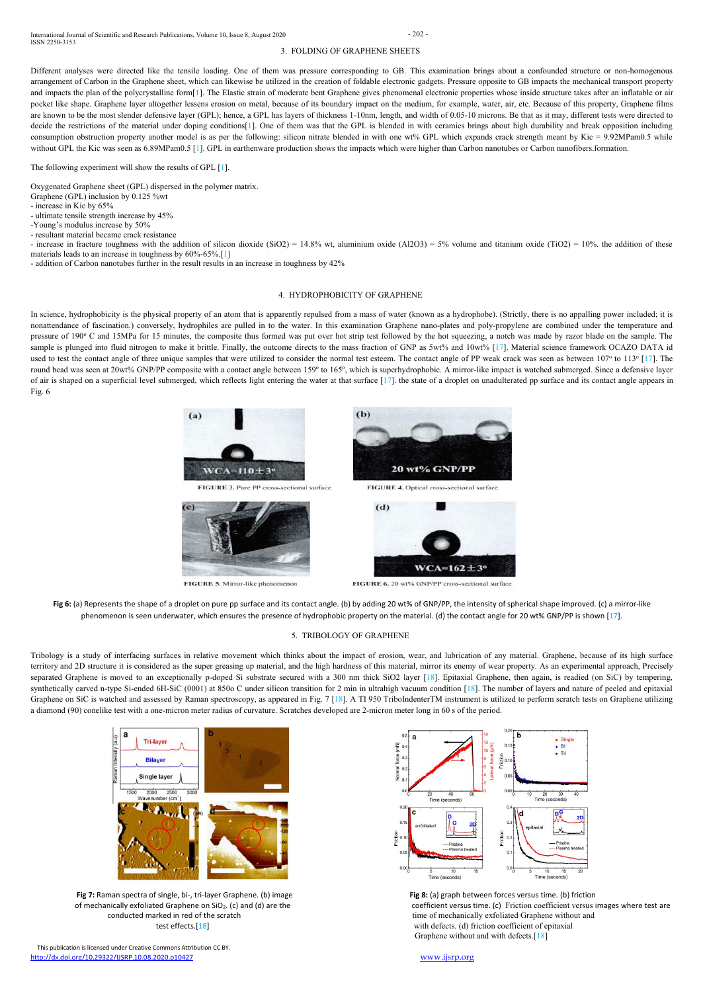International Journal of Scientific and Research Publications, Volume 10, Issue 8, August 2020 - 202 - ISSN 2250-3153

This publication is licensed under Creative Commons Attribution CC BY. <http://dx.doi.org/10.29322/IJSRP.10.08.2020.p10427> [www.ijsrp.org](http://ijsrp.org/)

of mechanically exfoliated Graphene on SiO<sub>2</sub>. (c) and (d) are the coefficient versus time. (c) Friction coefficient versus images where test are conducted marked in red of the scratch time of mechanically exfoliated Graphene without and test effects. [18] with defects. (d) friction coefficient of epitaxial Graphene without and with defects.[18]

### 3. FOLDING OF GRAPHENE SHEETS

Different analyses were directed like the tensile loading. One of them was pressure corresponding to GB. This examination brings about a confounded structure or non-homogenous arrangement of Carbon in the Graphene sheet, which can likewise be utilized in the creation of foldable electronic gadgets. Pressure opposite to GB impacts the mechanical transport property and impacts the plan of the polycrystalline form[1]. The Elastic strain of moderate bent Graphene gives phenomenal electronic properties whose inside structure takes after an inflatable or air pocket like shape. Graphene layer altogether lessens erosion on metal, because of its boundary impact on the medium, for example, water, air, etc. Because of this property, Graphene films are known to be the most slender defensive layer (GPL); hence, a GPL has layers of thickness 1-10nm, length, and width of 0.05-10 microns. Be that as it may, different tests were directed to decide the restrictions of the material under doping conditions[1]. One of them was that the GPL is blended in with ceramics brings about high durability and break opposition including consumption obstruction property another model is as per the following: silicon nitrate blended in with one wt% GPL which expands crack strength meant by Kic = 9.92MPam0.5 while without GPL the Kic was seen as 6.89MPam0.5 [1]. GPL in earthenware production shows the impacts which were higher than Carbon nanotubes or Carbon nanofibers.formation.

# The following experiment will show the results of GPL [1].

- increase in fracture toughness with the addition of silicon dioxide (SiO2) = 14.8% wt, aluminium oxide (Al2O3) = 5% volume and titanium oxide (TiO2) = 10% the addition of these materials leads to an increase in toughness by 60%-65%.[1]

- addition of Carbon nanotubes further in the result results in an increase in toughness by 42%

Oxygenated Graphene sheet (GPL) dispersed in the polymer matrix.

In science, hydrophobicity is the physical property of an atom that is apparently repulsed from a mass of water (known as a hydrophobe). (Strictly, there is no appalling power included; it is nonattendance of fascination.) conversely, hydrophiles are pulled in to the water. In this examination Graphene nano-plates and poly-propylene are combined under the temperature and pressure of 190° C and 15MPa for 15 minutes, the composite thus formed was put over hot strip test followed by the hot squeezing, a notch was made by razor blade on the sample. The sample is plunged into fluid nitrogen to make it brittle. Finally, the outcome directs to the mass fraction of GNP as 5wt% and 10wt% [17]. Material science framework OCAZO DATA id used to test the contact angle of three unique samples that were utilized to consider the normal test esteem. The contact angle of PP weak crack was seen as between 107° to 113° [17]. The round bead was seen at 20wt% GNP/PP composite with a contact angle between 159° to 165°, which is superhydrophobic. A mirror-like impact is watched submerged. Since a defensive layer of air is shaped on a superficial level submerged, which reflects light entering the water at that surface [17]. the state of a droplet on unadulterated pp surface and its contact angle appears in Fig. 6



FIGURE 3. Pure PP cross-sectional surface



FIGURE 5. Mirror-like phenomenon



FIGURE 4. Optical cross-sectional surface



FIGURE 6. 20 wt% GNP/PP cross-sectional surface

Fig 6: (a) Represents the shape of a droplet on pure pp surface and its contact angle. (b) by adding 20 wt% of GNP/PP, the intensity of spherical shape improved. (c) a mirror-like phenomenon is seen underwater, which ensures the presence of hydrophobic property on the material. (d) the contact angle for 20 wt% GNP/PP is shown [17].

- Graphene (GPL) inclusion by 0.125 %wt
- increase in Kic by 65%

- ultimate tensile strength increase by 45%

- -Young's modulus increase by 50%
- resultant material became crack resistance

### 4. HYDROPHOBICITY OF GRAPHENE

### 5. TRIBOLOGY OF GRAPHENE

Tribology is a study of interfacing surfaces in relative movement which thinks about the impact of erosion, wear, and lubrication of any material. Graphene, because of its high surface territory and 2D structure it is considered as the super greasing up material, and the high hardness of this material, mirror its enemy of wear property. As an experimental approach, Precisely separated Graphene is moved to an exceptionally p-doped Si substrate secured with a 300 nm thick SiO2 layer [18]. Epitaxial Graphene, then again, is readied (on SiC) by tempering, synthetically carved n-type Si-ended 6H-Si Graphene on SiC is watched and assessed by Raman spectroscopy, as appeared in Fig. 7 [18]. A TI 950 TriboIndenterTM instrument is utilized to perform scratch tests on Graphene utilizing a diamond (90) conelike test with a one-micron meter radius of curvature. Scratches developed are 2-micron meter long in 60 s of the period.





**Fig 7:** Raman spectra of single, bi-, tri-layer Graphene. (b) image **Fig 8:** (a) graph between forces versus time. (b) friction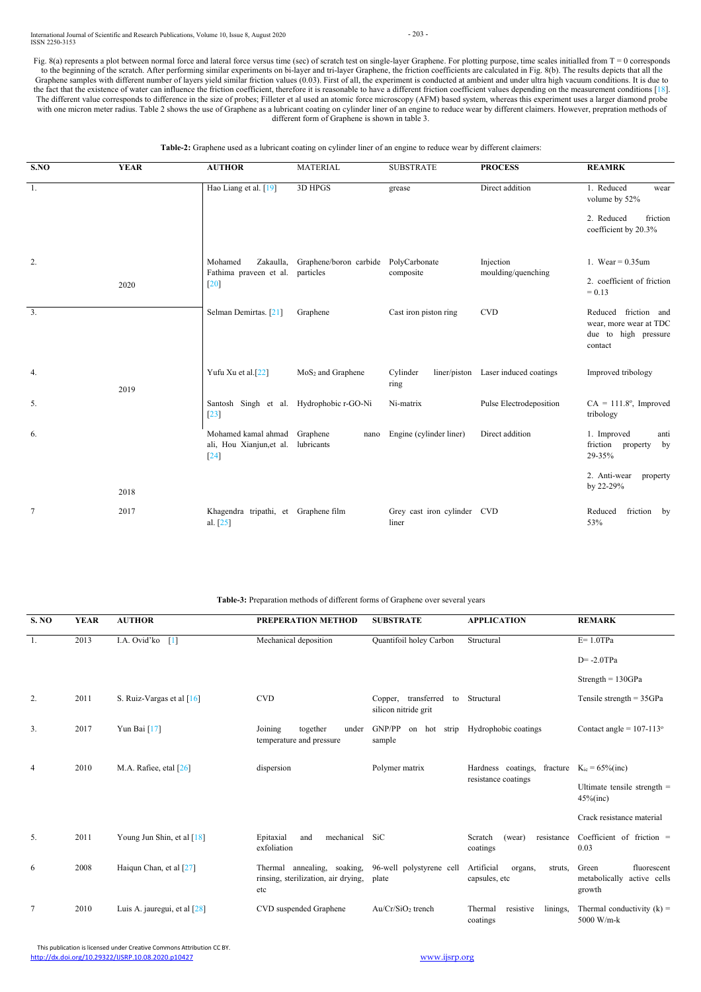International Journal of Scientific and Research Publications, Volume 10, Issue 8, August 2020 - 203 - ISSN 2250-3153

This publication is licensed under Creative Commons Attribution CC BY. <http://dx.doi.org/10.29322/IJSRP.10.08.2020.p10427> [www.ijsrp.org](http://ijsrp.org/)

Fig. 8(a) represents a plot between normal force and lateral force versus time (sec) of scratch test on single-layer Graphene. For plotting purpose, time scales initialled from  $T = 0$  corresponds to the beginning of the scratch. After performing similar experiments on bi-layer and tri-layer Graphene, the friction coefficients are calculated in Fig. 8(b). The results depicts that all the Graphene samples with different number of layers yield similar friction values (0.03). First of all, the experiment is conducted at ambient and under ultra high vacuum conditions. It is due to the fact that the existence of water can influence the friction coefficient, therefore it is reasonable to have a different friction coefficient values depending on the measurement conditions [18]. The different value corresponds to difference in the size of probes; Filleter et al used an atomic force microscopy (AFM) based system, whereas this experiment uses a larger diamond probe with one micron meter radius. Table 2 shows the use of Graphene as a lubricant coating on cylinder liner of an engine to reduce wear by different claimers. However, prepration methods of different form of Graphene is shown in table 3.

**Table-2:** Graphene used as a lubricant coating on cylinder liner of an engine to reduce wear by different claimers:

| 4  | 2010 | M.A. Rafiee, etal $[26]$       | dispersion                                                                                               | Polymer matrix      | Hardness coatings,                                | fracture $K_{ic} = 65\%$ (inc)                               |
|----|------|--------------------------------|----------------------------------------------------------------------------------------------------------|---------------------|---------------------------------------------------|--------------------------------------------------------------|
|    |      |                                |                                                                                                          |                     | resistance coatings                               | Ultimate tensile strength $=$<br>$45\%$ (inc)                |
|    |      |                                |                                                                                                          |                     |                                                   | Crack resistance material                                    |
| 5. | 2011 | Young Jun Shin, et al $[18]$   | Epitaxial<br>mechanical SiC<br>and<br>exfoliation                                                        |                     | resistance<br>Scratch<br>(wear)<br>coatings       | Coefficient of friction $=$<br>0.03                          |
| 6  | 2008 | Haigun Chan, et al [27]        | Thermal annealing, soaking, 96-well polystyrene cell<br>rinsing, sterilization, air drying, plate<br>etc |                     | Artificial<br>struts,<br>organs,<br>capsules, etc | Green<br>fluorescent<br>metabolically active cells<br>growth |
|    | 2010 | Luis A. jauregui, et al $[28]$ | CVD suspended Graphene                                                                                   | $Au/Cr/SiO2$ trench | resistive<br>linings,<br>Thermal<br>coatings      | Thermal conductivity $(k)$ =<br>5000 W/m-k                   |

| SNO              | <b>YEAR</b> | <b>AUTHOR</b>                                             | <b>MATERIAL</b>                | <b>SUBSTRATE</b>                                  | <b>PROCESS</b>                      | <b>REAMRK</b>                                                                     |
|------------------|-------------|-----------------------------------------------------------|--------------------------------|---------------------------------------------------|-------------------------------------|-----------------------------------------------------------------------------------|
| -1.              |             | Hao Liang et al. [19]                                     | 3D HPGS                        | grease                                            | Direct addition                     | 1. Reduced<br>wear<br>volume by 52%                                               |
|                  |             |                                                           |                                |                                                   |                                     | friction<br>2. Reduced<br>coefficient by 20.3%                                    |
| 2.               |             | Zakaulla,<br>Mohamed                                      |                                | Injection<br>Graphene/boron carbide PolyCarbonate |                                     | 1. Wear = $0.35$ um                                                               |
|                  | 2020        | Fathima praveen et al.<br>$[20]$                          | particles                      | composite                                         | moulding/quenching                  | 2. coefficient of friction<br>$= 0.13$                                            |
| $\overline{3}$ . |             | Selman Demirtas. [21]                                     | Graphene                       | Cast iron piston ring                             | <b>CVD</b>                          | Reduced friction and<br>wear, more wear at TDC<br>due to high pressure<br>contact |
| 4.               | 2019        | Yufu Xu et al.[22]                                        | MoS <sub>2</sub> and Graphene  | Cylinder<br>ring                                  | liner/piston Laser induced coatings | Improved tribology                                                                |
| 5.               |             | Santosh Singh et al. Hydrophobic r-GO-Ni<br>$[23]$        |                                | Ni-matrix                                         | Pulse Electrodeposition             | $CA = 111.8$ °, Improved<br>tribology                                             |
| 6.               |             | Mohamed kamal ahmad<br>ali, Hou Xianjun, et al.<br>$[24]$ | Graphene<br>nano<br>lubricants | Engine (cylinder liner)                           | Direct addition                     | 1. Improved<br>anti<br>friction<br>property<br>by<br>29-35%                       |
|                  | 2018        |                                                           |                                |                                                   |                                     | 2. Anti-wear<br>property<br>by 22-29%                                             |
| $\tau$           | 2017        | Khagendra tripathi, et Graphene film<br>al. $[25]$        |                                | Grey cast iron cylinder CVD<br>liner              |                                     | friction by<br>Reduced<br>53%                                                     |

Table-3: Preparation methods of different forms of Graphene over several years

| <b>S. NO</b> | <b>YEAR</b> | <b>AUTHOR</b>               | <b>PREPERATION METHOD</b>                                | <b>SUBSTRATE</b>                                   | <b>APPLICATION</b> | <b>REMARK</b>                   |
|--------------|-------------|-----------------------------|----------------------------------------------------------|----------------------------------------------------|--------------------|---------------------------------|
|              | 2013        | I.A. Ovid'ko $[1]$          | Mechanical deposition                                    | Quantifoil holey Carbon                            | Structural         | $E = 1.0$ TPa                   |
|              |             |                             |                                                          |                                                    |                    | $D = -2.0$ TPa                  |
|              |             |                             |                                                          |                                                    |                    | Strength = $130GPa$             |
| 2.           | 2011        | S. Ruiz-Vargas et al $[16]$ | <b>CVD</b>                                               | Copper, transferred<br>to<br>silicon nitride grit  | Structural         | Tensile strength = $35GPa$      |
| 3.           | 2017        | Yun Bai $[17]$              | Joining<br>together<br>under<br>temperature and pressure | GNP/PP on hot strip Hydrophobic coatings<br>sample |                    | Contact angle = $107-113^\circ$ |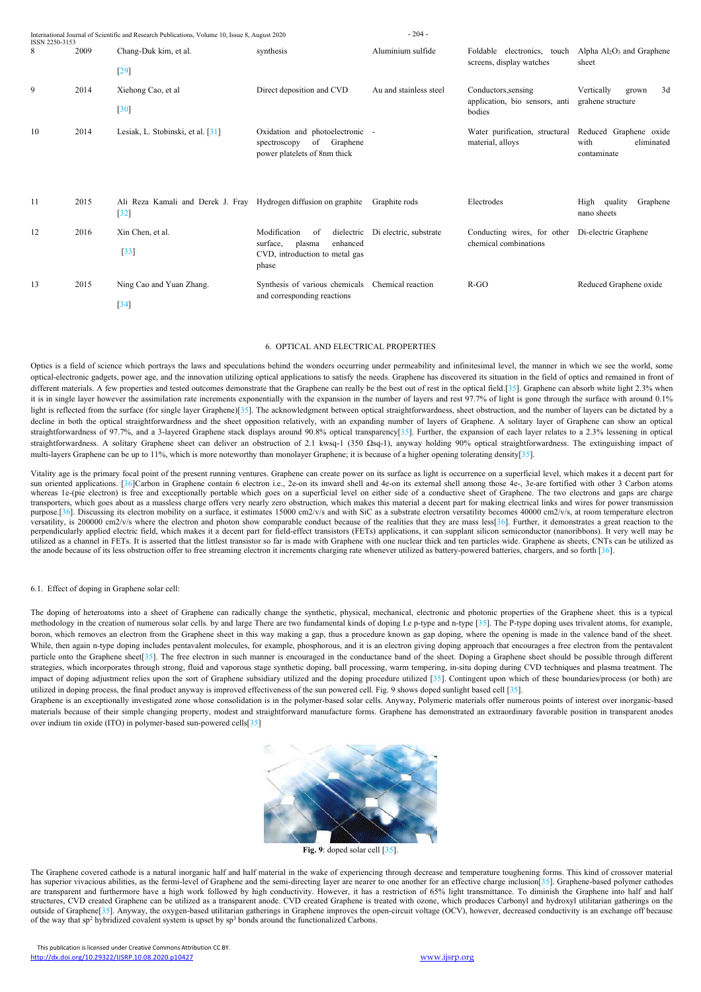| ISSN 2250-3153 |      | International Journal of Scientific and Research Publications, Volume 10, Issue 8, August 2020 |                                                                                                               | $-204-$                |                                                                 |                                                             |
|----------------|------|------------------------------------------------------------------------------------------------|---------------------------------------------------------------------------------------------------------------|------------------------|-----------------------------------------------------------------|-------------------------------------------------------------|
| 8              | 2009 | Chang-Duk kim, et al.<br>$[29]$                                                                | synthesis                                                                                                     | Aluminium sulfide      | Foldable electronics, touch<br>screens, display watches         | Alpha $Al_2O_3$ and Graphene<br>sheet                       |
| 9              | 2014 | Xiehong Cao, et al<br>$[30]$                                                                   | Direct deposition and CVD                                                                                     | Au and stainless steel | Conductors, sensing<br>application, bio sensors, anti<br>bodies | Vertically<br>3d<br>grown<br>grahene structure              |
| 10             | 2014 | Lesiak, L. Stobinski, et al. [31]                                                              | Oxidation and photoelectronic -<br>of Graphene<br>spectroscopy<br>power platelets of 8nm thick                |                        | Water purification, structural<br>material, alloys              | Reduced Graphene oxide<br>with<br>eliminated<br>contaminate |
| 11             | 2015 | Ali Reza Kamali and Derek J. Fray Hydrogen diffusion on graphite<br>$[32]$                     |                                                                                                               | Graphite rods          | Electrodes                                                      | quality<br>Graphene<br>High<br>nano sheets                  |
| 12             | 2016 | Xin Chen, et al.<br>$[33]$                                                                     | Modification<br>dielectric<br>of<br>enhanced<br>surface,<br>plasma<br>CVD, introduction to metal gas<br>phase | Di electric, substrate | Conducting wires, for other<br>chemical combinations            | Di-electric Graphene                                        |
| 13             | 2015 | Ning Cao and Yuan Zhang.<br>$[34]$                                                             | Synthesis of various chemicals<br>and corresponding reactions                                                 | Chemical reaction      | $R-GO$                                                          | Reduced Graphene oxide                                      |

Optics is a field of science which portrays the laws and speculations behind the wonders occurring under permeability and infinitesimal level, the manner in which we see the world, some optical-electronic gadgets, power age, and the innovation utilizing optical applications to satisfy the needs. Graphene has discovered its situation in the field of optics and remained in front of different materials. A few properties and tested outcomes demonstrate that the Graphene can really be the best out of rest in the optical field.[35]. Graphene can absorb white light 2.3% when it is in single layer however the assimilation rate increments exponentially with the expansion in the number of layers and rest 97.7% of light is gone through the surface with around 0.1% light is reflected from the surface (for single layer Graphene)[35]. The acknowledgment between optical straightforwardness, sheet obstruction, and the number of layers can be dictated by a decline in both the optical straightforwardness and the sheet opposition relatively, with an expanding number of layers of Graphene. A solitary layer of Graphene can show an optical straightforwardness of 97.7%, and a 3-layered Graphene stack displays around 90.8% optical transparency[35]. Further, the expansion of each layer relates to a 2.3% lessening in optical straightforwardness. A solitary Graphene sheet can deliver an obstruction of 2.1 kwsq-1 (350 Ωsq-1), anyway holding 90% optical straightforwardness. The extinguishing impact of multi-layers Graphene can be up to 11%, which is more noteworthy than monolayer Graphene; it is because of a higher opening tolerating density[35].

### 6. OPTICAL AND ELECTRICAL PROPERTIES

Vitality age is the primary focal point of the present running ventures. Graphene can create power on its surface as lightis occurrence on a superficial level, which makes it a decent part for sun oriented applications. [36]Carbon in Graphene contain 6 electron i.e., 2e-on its inward shell and 4e-on its external shell among those 4e-, 3e-are fortified with other 3 Carbon atoms whereas 1e-(pie electron) is free and exceptionally portable which goes on a superficial level on either side of a conductive sheet of Graphene. The two electrons and gaps are charge transporters, which goes about as a massless charge offers very nearly zero obstruction, which makes this material a decent part for making electrical links and wires for power transmission purpose.[36]. Discussing its electron mobility on a surface, it estimates 15000 cm2/v/s and with SiC as a substrate electron versatility becomes 40000 cm2/v/s, at room temperature electron versatility, is 200000 cm2/v/s where the electron and photon show comparable conduct because of the realities that they are mass less[36]. Further, it demonstrates a great reaction to the perpendicularly applied electric field, which makes it a decent part for field-effect transistors (FETs) applications, it can supplant silicon semiconductor (nanoribbons). It very well may be utilized as a channel in FETs. It is asserted that the littlest transistor so far is made with Graphene with one nuclear thick and ten particles wide. Graphene as sheets, CNTs can be utilized as the anode because of its less obstruction offer to free streaming electron it increments charging rate whenever utilized as battery-powered batteries, chargers, and so forth [36].

Graphene is an exceptionally investigated zone whose consolidation is in the polymer-based solar cells. Anyway, Polymeric materials offer numerous points of interest over inorganic-based materials because of their simple changing property, modest and straightforward manufacture forms. Graphene has demonstrated an extraordinary favorable position in transparent anodes over indium tin oxide (ITO) in polymer-based sun-powered cells[35]





### 6.1. Effect of doping in Graphene solar cell:

The doping of heteroatoms into a sheet of Graphene can radically change the synthetic, physical, mechanical, electronic and photonic properties of the Graphene sheet. this is a typical methodology in the creation of numerous solar cells. by and large There are two fundamental kinds of doping I.e p-type and n-type [35]. The P-type doping uses trivalent atoms, for example, boron, which removes an electron from the Graphene sheet in this way making a gap, thus a procedure known as gap doping, where the opening is made in the valence band of the sheet. While, then again n-type doping includes pentavalent molecules, for example, phosphorous, and it is an electron giving doping approach that encourages a free electron from the pentavalent particle onto the Graphene sheet[35]. The free electron in such manner is encouraged in the conductance band of the sheet. Doping a Graphene sheet should be possible through different strategies, which incorporates through strong, fluid and vaporous stage synthetic doping, ball processing, warm tempering, in-situ doping during CVD techniques and plasma treatment. The impact of doping adjustment relies upon the sort of Graphene subsidiary utilized and the doping procedure utilized [35]. Contingent upon which of these boundaries/process (or both) are utilized in doping process, the final product anyway is improved effectiveness ofthe sun powered cell. Fig. 9 shows doped sunlight based cell [35].

**Fig. 9**: doped solar cell [35].

The Graphene covered cathode is a natural inorganic half and half material in the wake of experiencing through decrease and temperature toughening forms. This kind of crossover material has superior vivacious abilities, as the fermi-level of Graphene and the semi-directing layer are nearer to one another for an effective charge inclusion[35]. Graphene-based polymer cathodes are transparent and furthermore have a high work followed by high conductivity. However, it has a restriction of 65% light transmittance. To diminish the Graphene into half and half structures, CVD created Graphene can be utilized as a transparent anode. CVD created Graphene istreated with ozone, which produces Carbonyl and hydroxyl utilitarian gatherings on the outside of Graphene[35]. Anyway, the oxygen-based utilitarian gatherings in Graphene improves the open-circuit voltage (OCV), however, decreased conductivity is an exchange off because of the way that sp <sup>2</sup> hybridized covalent system is upset by sp <sup>3</sup> bonds around the functionalized Carbons.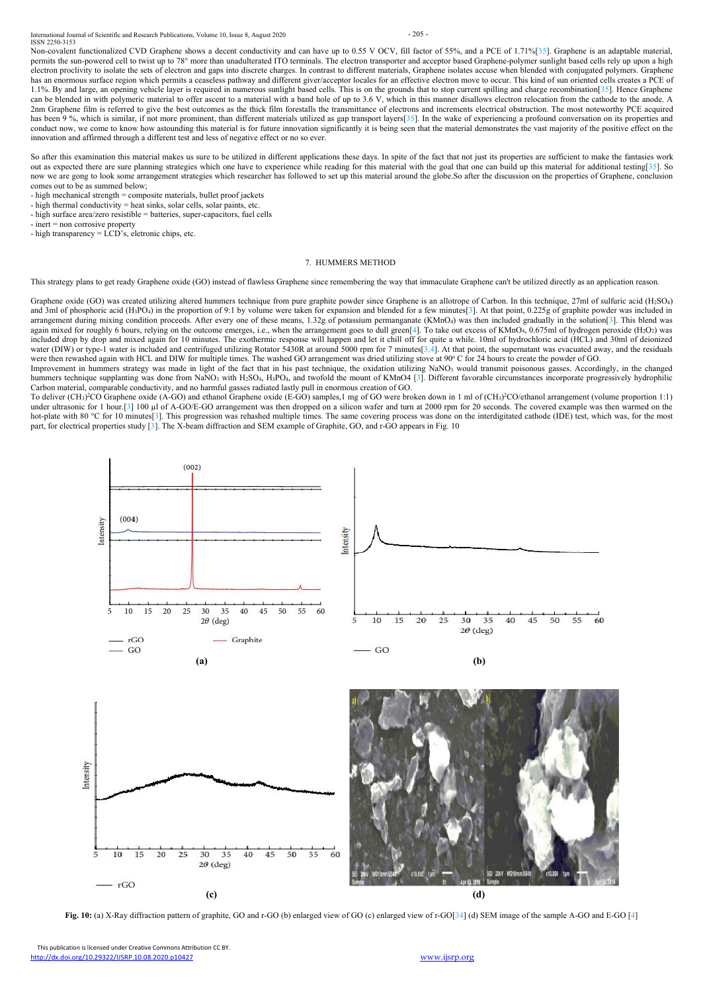International Journal of Scientific and Research Publications, Volume 10, Issue 8, August 2020 - 205 - 205 -ISSN 2250-3153

Non-covalent functionalized CVD Graphene shows a decent conductivity and can have up to 0.55 V OCV, fill factor of 55%, and a PCE of 1.71%[35]. Graphene is an adaptable material, permits the sun-powered cell to twist up to 78° more than unadulterated ITO terminals. The electron transporter and acceptor based Graphene-polymer sunlight based cells rely up upon a high electron proclivity to isolate the sets of electron and gaps into discrete charges. In contrast to different materials, Graphene isolates accuse when blended with conjugated polymers. Graphene has an enormous surface region which permits a ceaseless pathway and different giver/acceptor locales for an effective electron move to occur. This kind of sun oriented cells creates a PCE of 1.1%. By and large, an opening vehicle layer is required in numerous sunlight based cells. This is on the grounds that to stop current spilling and charge recombination[35]. Hence Graphene can be blended in with polymeric material to offer ascent to a material with a band hole of up to 3.6 V, which in this manner disallows electron relocation from the cathode to the anode. A 2nm Graphene film is referred to give the best outcomes as the thick film forestalls the transmittance of electrons and increments electrical obstruction. The most noteworthy PCE acquired has been 9 %, which is similar, if not more prominent, than different materials utilized as gap transport layers[35]. In the wake of experiencing a profound conversation on its properties and conduct now, we come to know how astounding this material is for future innovation significantly it is being seen that the material demonstrates the vast majority of the positive effect on the innovation and affirmed through a different test and less of negative effect or no so ever.

This publication is licensed under Creative Commons Attribution CC BY. <http://dx.doi.org/10.29322/IJSRP.10.08.2020.p10427> [www.ijsrp.org](http://ijsrp.org/)

So after this examination this material makes us sure to be utilized in different applications these days. In spite of the fact that not just its properties are sufficient to make the fantasies work out as expected there are sure planning strategies which one have to experience while reading for this material with the goal that one can build up this material for additional testing[35]. So now we are gong to look some arrangement strategies which researcher has followed to set up this material around the globe. So after the discussion on the properties of Graphene, conclusion comes out to be as summed below;

Improvement in hummers strategy was made in light of the fact that in his past technique, the oxidation utilizing NaNO3 would transmit poisonous gasses. Accordingly, in the changed hummers technique supplanting was done from NaNO<sub>3</sub> with H<sub>2</sub>SO<sub>4</sub>, H<sub>3</sub>PO<sub>4</sub>, and twofold the mount of KMnO4 [3]. Different favorable circumstances incorporate progressively hydrophilic Carbon material, comparable conductivity, and no harmful gasses radiated lastly pullin enormous creation of GO.

To deliver (CH<sub>3</sub>)<sup>2</sup>CO Graphene oxide (A-GO) and ethanol Graphene oxide (E-GO) samples, 1 mg of GO were broken down in 1 ml of (CH<sub>3</sub>)<sup>2</sup>CO/ethanol arrangement (volume proportion 1:1) under ultrasonic for 1 hour.[3] 100 µl of A-GO/E-GO arrangement was then dropped on a silicon wafer and turn at 2000 rpm for 20 seconds. The covered example was then warmed on the hot-plate with 80 °C for 10 minutes[3]. This progression was rehashed multiple times. The same covering process was done on the interdigitated cathode (IDE) test, which was, for the most part, for electrical properties study [3]. The X-beam diffraction and SEM example of Graphite, GO, and r-GO appears in Fig. 10

- high mechanical strength = composite materials, bullet proof jackets
- high thermal conductivity = heat sinks, solar cells, solar paints, etc.
- high surface area/zero resistible = batteries, super-capacitors, fuel cells
- inert = non corrosive property
- high transparency = LCD's, eletronic chips, etc.

### 7. HUMMERS METHOD

This strategy plans to get ready Graphene oxide (GO) instead of flawless Graphene since remembering the way that immaculate Graphene can't be utilized directly as an application reason.

Graphene oxide (GO) was created utilizing altered hummers technique from pure graphite powder since Graphene is an allotrope of Carbon. In this technique, 27ml of sulfuric acid (H<sub>2</sub>SO<sub>4</sub>) and 3ml of phosphoric acid (H<sub>3</sub>PO<sub>4</sub>) in the proportion of 9:1 by volume were taken for expansion and blended for a few minutes[3]. At that point, 0.225g of graphite powder was included in arrangement during mixing condition proceeds. After every one of these means, 1.32g of potassium permanganate  $(KMnO<sub>4</sub>)$  was then included gradually in the solution [3]. This blend was again mixed for roughly 6 hours, relying on the outcome emerges, i.e., when the arrangement goes to dull green[4]. To take out excess of KMnO<sub>4</sub>, 0.675ml of hydrogen peroxide (H<sub>2</sub>O<sub>2</sub>) was included drop by drop and mixed again for 10 minutes. The exothermic response will happen and let it chill off for quite a while. 10ml of hydrochloric acid (HCL) and 30ml of deionized water (DIW) or type-1 water is included and centrifuged utilizing Rotator 5430R at around 5000 rpm for 7 minutes[3,4]. At that point, the supernatant was evacuated away, and the residuals were then rewashed again with HCL and DIW for multiple times. The washed GO arrangement was dried utilizing stove at 90° C for 24 hours to create the powder of GO.





**Fig. 10:** (a) X-Ray diffraction pattern of graphite, GO and r-GO (b) enlarged view of GO (c) enlarged view of r-GO[34] (d) SEM image of the sample A-GO and E-GO [4]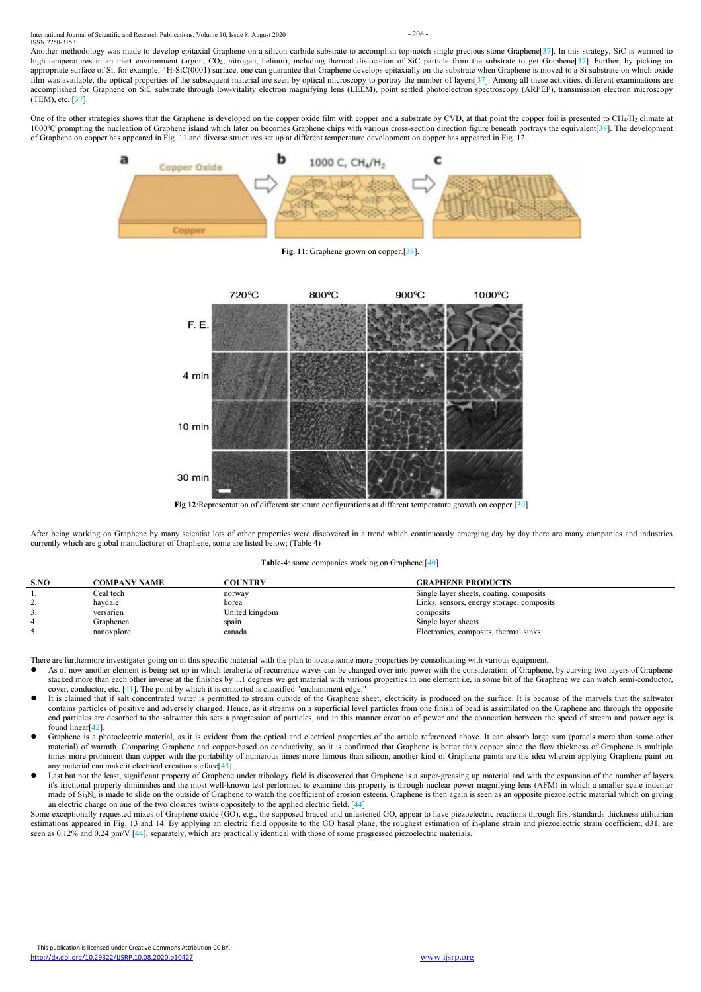

Another methodology was made to develop epitaxial Graphene on a silicon carbide substrate to accomplish top-notch single precious stone Graphene[37]. In this strategy, SiC is warmed to high temperatures in an inert environment (argon, CO<sub>2</sub>, nitrogen, helium), including thermal dislocation of SiC particle from the substrate to get Graphene[37]. Further, by picking an appropriate surface of Si, for example, 4H-SiC(0001) surface, one can guarantee that Graphene develops epitaxially on the substrate when Graphene is moved to a Si substrate on which oxide film was available, the optical properties of the subsequent material are seen by optical microscopy to portray the number of layers[37]. Among all these activities, different examinations are accomplished for Graphene on SiC substrate through low-vitality electron magnifying lens (LEEM), point settled photoelectron spectroscopy (ARPEP), transmission electron microscopy (TEM), etc. [37].

One of the other strategies shows that the Graphene is developed on the copper oxide film with copper and a substrate by CVD, at that point the copper foil is presented to CH<sub>4</sub>/H<sub>2</sub> climate at 1000°C prompting the nucleation of Graphene island which later on becomes Graphene chips with various cross-section direction figure beneath portrays the equivalent[38]. The development of Graphene on copper has appeared in Fig. 11 and diverse structures set up at different temperature development on copper has appeared in Fig. 12

After being working on Graphene by many scientist lots of other properties were discovered in a trend which continuously emerging day by day there are many companies and industries currently which are globalmanufacturer of Graphene, some are listed below; (Table 4)



**Fig. 11**: Graphene grown on copper.[38].



**Fig 12**:Representation of different structure configurations at different temperature growth on copper [39]

# **Table-4**: some companies working on Graphene [40].

| S.NO     | COMPANY NAME- | COUNTRY        | <b>GRAPHENE PRODUCTS</b>                  |
|----------|---------------|----------------|-------------------------------------------|
|          | Ceal tech     | norway         | Single layer sheets, coating, composits   |
| <u>.</u> | haydale       | korea          | Links, sensors, energy storage, composits |
|          | versarien     | United kingdom | composits                                 |
|          | Graphenea     | spain          | Single layer sheets                       |
| ◡.       | nanoxplore    | canada         | Electronics, composits, thermal sinks     |

There are furthermore investigates going on in this specific material with the plan to locate some more properties by consolidating with various equipment,

- As of now another element is being set up in which terahertz of recurrence waves can be changed over into power with the consideration of Graphene, by curving two layers of Graphene stacked more than each other inverse at the finishes by 1.1 degrees we get material with various properties in one element i.e, in some bit of the Graphene we can watch semi-conductor, cover, conductor, etc. [41]. The point by which it is contorted is classified "enchantment edge."
- It is claimed that if salt concentrated water is permitted to stream outside of the Graphene sheet, electricity is produced on the surface. It is because of the marvels that the saltwater contains particles of positive and adversely charged. Hence, as it streams on a superficial level particles from one finish of bead is assimilated on the Graphene and through the opposite end particles are desorbed to the saltwater this sets a progression of particles, and in this manner creation of power and the connection between the speed of stream and power age is found linear[42].
- Graphene is a photoelectric material, as it is evident from the optical and electrical properties of the article referenced above. It can absorb large sum (parcels more than some other material) of warmth. Comparing Graphene and copper-based on conductivity, so it is confirmed that Graphene is better than copper since the flow thickness of Graphene is multiple

times more prominent than copper with the portability of numerous times more famous than silicon, another kind of Graphene paints are the idea wherein applying Graphene paint on any material can make it electrical creation surface[43].

 Last but not the least, significant property of Graphene under tribology field is discovered that Graphene is a super-greasing up material and with the expansion of the number of layers it's frictional property diminishes and the most well-known test performed to examine this property is through nuclear power magnifying lens (AFM) in which a smaller scale indenter made of Si<sub>3</sub>N<sub>4</sub> is made to slide on the outside of Graphene to watch the coefficient of erosion esteem. Graphene is then again is seen as an opposite piezoelectric material which on giving an electric charge on one of the two closures twists oppositely to the applied electric field. [44]

Some exceptionally requested mixes of Graphene oxide (GO), e.g., the supposed braced and unfastened GO, appear to have piezoelectric reactions through first-standards thickness utilitarian estimations appeared in Fig. 13 and 14. By applying an electric field opposite to the GO basal plane, the roughest estimation of in-plane strain and piezoelectric strain coefficient, d31, are seen as  $0.12\%$  and  $0.24$  pm/V  $[44]$ , separately, which are practically identical with those of some progressed piezoelectric materials.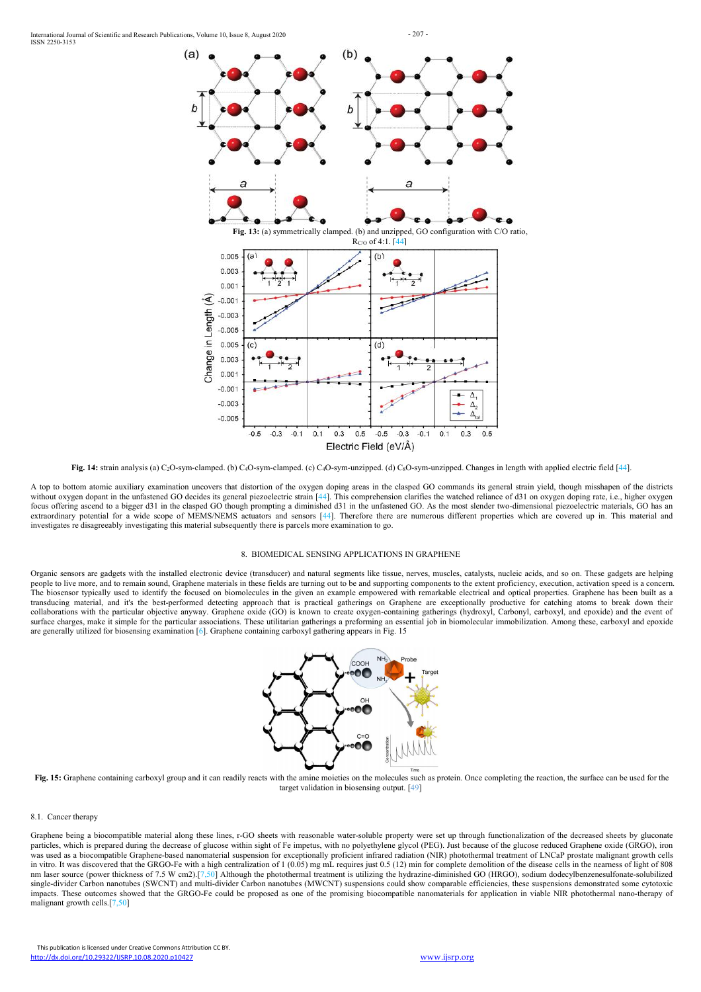

Fig. 14: strain analysis (a) C<sub>2</sub>O-sym-clamped. (b) C<sub>4</sub>O-sym-clamped. (c) C<sub>4</sub>O-sym-unzipped. (d) C<sub>8</sub>O-sym-unzipped. Changes in length with applied electric field [44].



A top to bottom atomic auxiliary examination uncovers that distortion of the oxygen doping areas in the clasped GO commands its general strain yield, though misshapen of the districts without oxygen dopant in the unfastened GO decides its general piezoelectric strain [44]. This comprehension clarifies the watched reliance of d31 on oxygen doping rate, i.e., higher oxygen focus offering ascend to a bigger d31 in the clasped GO though prompting a diminished d31 in the unfastened GO. As the most slender two-dimensional piezoelectric materials, GO has an extraordinary potential for a wide scope of MEMS/NEMS actuators and sensors [44]. Therefore there are numerous different properties which are covered up in. This material and investigates re disagreeably investigating this material subsequently there is parcels more examination to go.

# 8. BIOMEDICAL SENSING APPLICATIONS IN GRAPHENE

Organic sensors are gadgets with the installed electronic device (transducer) and natural segments like tissue, nerves, muscles, catalysts, nucleic acids, and so on. These gadgets are helping people to live more, and to remain sound, Graphene materials in these fields are turning out to be and supporting components to the extent proficiency, execution, activation speed is a concern.<br>The biosensor typically used transducing material, and it's the best-performed detecting approach that is practical gatherings on Graphene are exceptionally productive for catching atoms to break down their collaborations with the particular objective anyway. Graphene oxide (GO) is known to create oxygen-containing gatherings (hydroxyl, Carbonyl, carboxyl, and epoxide) and the eventof surface charges, make it simple for the particular associations. These utilitarian gatherings a preforming an essential job in biomolecular immobilization. Among these, carboxyl and epoxide are generally utilized for biosensing examination [6]. Graphene containing carboxyl gathering appears in Fig. 15



**Fig. 15:** Graphene containing carboxyl group and it can readily reacts with the amine moieties on the molecules such as protein. Once completing the reaction, the surface can be used for the target validation in biosensing output. [49]

8.1. Cancer therapy

Graphene being a biocompatible material along these lines, r-GO sheets with reasonable water-soluble property were set up through functionalization of the decreased sheets by gluconate particles, which is prepared during the decrease of glucose within sight of Fe impetus, with no polyethylene glycol (PEG). Just because of the glucose reduced Graphene oxide (GRGO), iron was used as a biocompatible Graphene-based nanomaterial suspension for exceptionally proficient infrared radiation (NIR) photothermal treatment of LNCaP prostate malignant growth cells in vitro. It was discovered that the GRGO-Fe with a high centralization of 1 (0.05) mg mL requires just 0.5 (12) min for complete demolition of the disease cells in the nearness of light of 808 nm laser source (power thickness of 7.5 W cm2).[7,50] Although the photothermal treatment is utilizing the hydrazine-diminished GO (HRGO), sodium dodecylbenzenesulfonate-solubilized single-divider Carbon nanotubes (SWCNT) and multi-divider Carbon nanotubes (MWCNT) suspensions could show comparable efficiencies, these suspensions demonstrated some cytotoxic impacts. These outcomes showed that the GRGO-Fe could be proposed as one of the promising biocompatible nanomaterials for application in viable NIR photothermal nano-therapy of malignant growth cells.[7,50]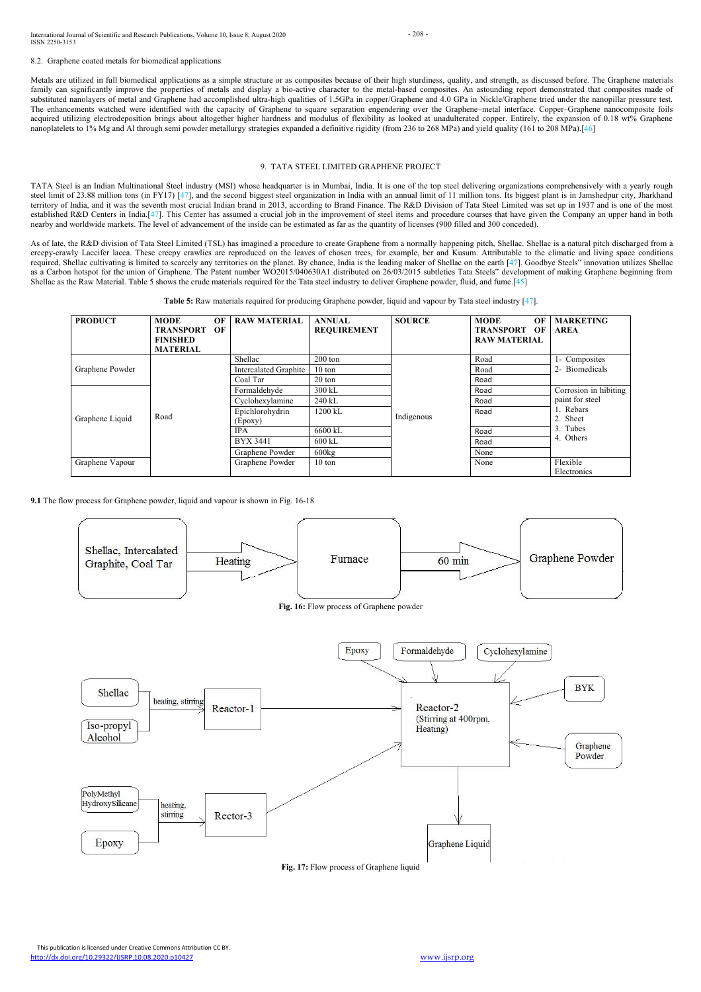International Journal of Scientific and Research Publications, Volume 10, Issue 8, August 2020 - 208 - 208 -ISSN 2250-3153

Metals are utilized in full biomedical applications as a simple structure or as composites because of their high sturdiness, quality, and strength, as discussed before. The Graphene materials family can significantly improve the properties of metals and display a bio-active character to the metal-based composites. An astounding report demonstrated that composites made of substituted nanolayers of metal and Graphene had accomplished ultra-high qualities of 1.5GPa in copper/Graphene and 4.0 GPa in Nickle/Graphene tried under the nanopillar pressure test. The enhancements watched were identified with the capacity of Graphene to square separation engendering over the Graphene–metal interface. Copper–Graphene nanocomposite foils acquired utilizing electrodeposition brings about altogether higher hardness and modulus of flexibility as looked at unadulterated copper. Entirely, the expansion of 0.18 wt% Graphene nanoplatelets to 1% Mg and Al through semi powder metallurgy strategies expanded a definitive rigidity (from 236 to 268 MPa) and yield quality (161 to 208 MPa).[46]

This publication is licensed under Creative Commons Attribution CC BY. <http://dx.doi.org/10.29322/IJSRP.10.08.2020.p10427> [www.ijsrp.org](http://ijsrp.org/)



8.2. Graphene coated metals for biomedical applications

# 9. TATA STEEL LIMITED GRAPHENE PROJECT

As of late, the R&D division of Tata Steel Limited (TSL) has imagined a procedure to create Graphene from a normally happening pitch, Shellac. Shellac is a natural pitch discharged from a creepy-crawly Laccifer lacca. These creepy crawlies are reproduced on the leaves of chosen trees, for example, ber and Kusum. Attributable to the climatic and living space conditions required, Shellac cultivating is limited to scarcely any territories on the planet. By chance, India is the leading maker of Shellac on the earth [47]. Goodbye Steels" innovation utilizes Shellac as a Carbon hotspot for the union of Graphene. The Patent number WO2015/040630A1 distributed on 26/03/2015 subtleties Tata Steels" development of making Graphene beginning from Shellac asthe Raw Material. Table 5 shows the crude materials required for the Tata steel industry to deliver Graphene powder, fluid, and fume.[45]

TATA Steel is an Indian Multinational Steel industry (MSI) whose headquarter is in Mumbai, India. It is one of the top steel delivering organizations comprehensively with a yearly rough steel limit of 23.88 million tons (in FY17) [47], and the second biggest steel organization in India with an annual limit of 11 million tons. Its biggest plant is in Jamshedpur city, Jharkhand territory of India, and it was the seventh most crucial Indian brand in 2013, according to Brand Finance. The R&D Division of Tata Steel Limited was set up in 1937 and is one of the most established R&D Centers in India.[47]. This Center has assumed a crucial job in the improvement of steel items and procedure courses that have given the Company an upper hand in both nearby and worldwide markets.The level of advancement of the inside can be estimated as far as the quantity of licenses (900 filled and 300 conceded).

**Table 5:** Raw materials required for producing Graphene powder, liquid and vapour by Tata steel industry [47].

| <b>PRODUCT</b>  | <b>MODE</b>      | OF | <b>RAW MATERIAL</b>          | <b>ANNUAL</b>      | <b>SOURCE</b> | <b>MODE</b><br>OF      | <b>MARKETING</b>                         |
|-----------------|------------------|----|------------------------------|--------------------|---------------|------------------------|------------------------------------------|
|                 | <b>TRANSPORT</b> | OF |                              | <b>REQUIREMENT</b> |               | <b>TRANSPORT</b><br>OF | <b>AREA</b>                              |
|                 | <b>FINISHED</b>  |    |                              |                    |               | <b>RAW MATERIAL</b>    |                                          |
|                 | <b>MATERIAL</b>  |    |                              |                    |               |                        |                                          |
|                 |                  |    | Shellac                      | $200 \text{ ton}$  |               | Road                   | 1- Composites                            |
| Graphene Powder |                  |    | <b>Intercalated Graphite</b> | $10 \text{ ton}$   |               | Road                   | 2- Biomedicals<br>Corrosion in hibiting  |
|                 |                  |    | Coal Tar                     | 20 ton             |               | Road                   |                                          |
|                 |                  |    | Formaldehyde                 | 300 kL             |               | Road                   |                                          |
|                 |                  |    | Cyclohexylamine              | 240 kL             | Indigenous    | Road                   | paint for steel<br>1. Rebars<br>2. Sheet |
|                 |                  |    | Epichlorohydrin              | 1200 kL            |               | Road                   |                                          |
| Graphene Liquid | Road             |    | (Epoxy)                      |                    |               |                        |                                          |
|                 |                  |    | <b>IPA</b>                   | 6600 kL            |               | Road                   | 3. Tubes                                 |
|                 |                  |    | <b>BYX 3441</b>              | 600 kL             |               | Road                   | 4. Others                                |
|                 |                  |    | Graphene Powder              | 600kg              |               | None                   |                                          |
| Graphene Vapour |                  |    | Graphene Powder              | 10 ton             |               | None                   | Flexible                                 |
|                 |                  |    |                              |                    |               |                        | Electronics                              |

**9.1** The flow process for Graphene powder, liquid and vapour is shown in Fig. 16-18

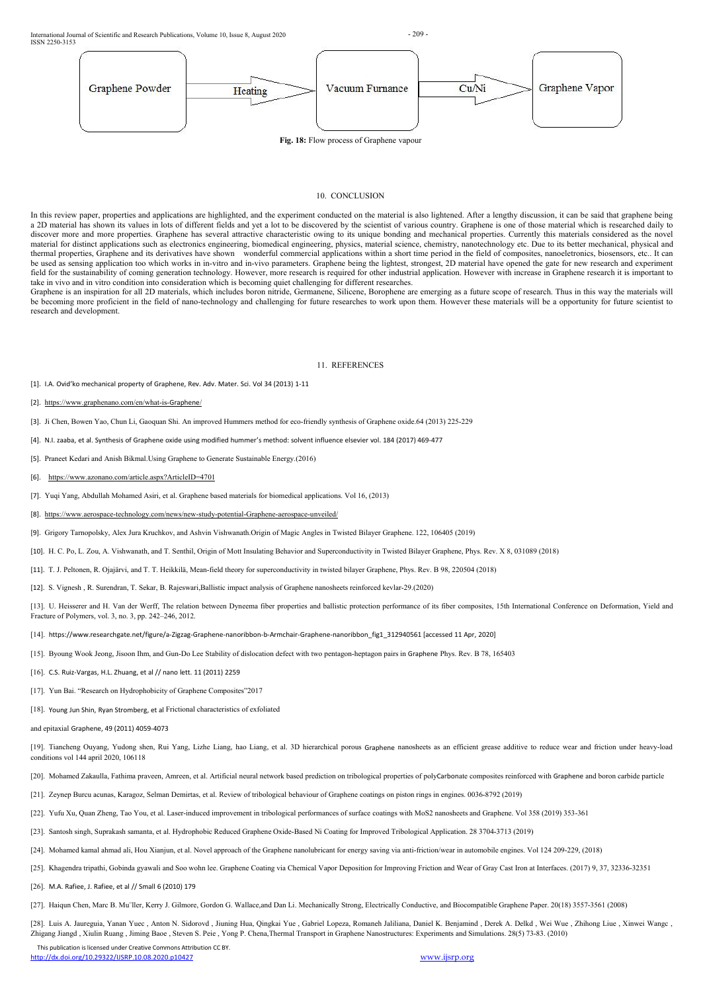International Journal of Scientific and Research Publications, Volume 10, Issue 8, August 2020 - 209 - 209 - 209 -ISSN 2250-3153



This publication is licensed under Creative Commons Attribution CC BY. <http://dx.doi.org/10.29322/IJSRP.10.08.2020.p10427> [www.ijsrp.org](http://ijsrp.org/)



### 10. CONCLUSION

In this review paper, properties and applications are highlighted, and the experiment conducted on the material is also lightened. After a lengthy discussion, it can be said that graphene being a 2D material has shown its values in lots of different fields and yet a lot to be discovered by the scientist of various country. Graphene is one of those material which is researched daily to discover more and more properties. Graphene has several attractive characteristic owing to its unique bonding and mechanical properties. Currently this materials considered as the novel material for distinct applications such as electronics engineering, biomedical engineering, physics, material science, chemistry, nanotechnology etc. Due to its better mechanical, physical and thermal properties, Graphene and its derivatives have shown wonderful commercial applications within a short time period in the field of composites, nanoeletronics, biosensors, etc.. It can be used as sensing application too which works in in-vitro and in-vivo parameters. Graphene being the lightest, strongest, 2D material have opened the gate for new research and experiment field for the sustainability of coming generation technology. However, more research is required for other industrial application. However with increase in Graphene research it is important to take in vivo and in vitro condition into consideration which is becoming quiet challenging for different researches.

Graphene is an inspiration for all 2D materials, which includes boron nitride, Germanene, Silicene, Borophene are emerging as a future scope of research. Thus in this way the materials will be becoming more proficient in the field of nano-technology and challenging for future researches to work upon them. However these materials will be a opportunity for future scientist to research and development.

[13]. U. Heisserer and H. Van der Werff, The relation between Dyneema fiber properties and ballistic protection performance of its fiber composites, 15th International Conference on Deformation, Yield and Fracture of Polymers, vol. 3, no. 3, pp. 242–246, 2012.

- [14]. https://www.researchgate.net/figure/a-Zigzag-Graphene-nanoribbon-b-Armchair-Graphene-nanoribbon\_fig1\_312940561 [accessed 11 Apr, 2020]
- [15]. Byoung Wook Jeong, Jisoon Ihm, and Gun-Do Lee Stability of dislocation defect with two pentagon-heptagon pairs in Graphene Phys. Rev. B 78, 165403
- [16]. C.S. Ruiz-Vargas, H.L. Zhuang, et al // nano lett. 11 (2011) 2259
- [17]. Yun Bai. "Research on Hydrophobicity of Graphene Composites"2017
- [18]. Young Jun Shin, Ryan Stromberg, et al Frictional characteristics of exfoliated
- and epitaxial Graphene, 49 (2011) 4059-4073
- [19]. Tiancheng Ouyang, Yudong shen, Rui Yang, Lizhe Liang, hao Liang, et al. 3D hierarchical porous Graphene nanosheets as an efficient grease additive to reduce wear and friction under heavy-load

### 11. REFERENCES

- [1]. I.A. Ovid'ko mechanical property of Graphene, Rev. Adv. Mater. Sci. Vol 34 (2013) 1-11
- [2]. [https://www.graphenano.com/en/what-is-](https://www.graphenano.com/en/what-is-graphene/)Graphene/
- [3]. Ji Chen, Bowen Yao, Chun Li, Gaoquan Shi. An improved Hummers method for eco-friendly synthesis of Graphene oxide.64 (2013) 225-229
- [4]. N.I. zaaba, et al. Synthesis of Graphene oxide using modified hummer's method: solvent influence elsevier vol. 184 (2017) 469-477
- [5]. Praneet Kedari and Anish Bikmal.Using Graphene to Generate Sustainable Energy.(2016)
- [6]. <https://www.azonano.com/article.aspx?ArticleID=4701>
- [7]. Yuqi Yang, Abdullah Mohamed Asiri, et al.Graphene based materials for biomedical applications. Vol 16, (2013)
- [8]. [https://www.aerospace-technology.com/news/new-study-potential-Graphene-aerospace-unveiled/](https://www.aerospace-technology.com/news/new-study-potential-graphene-aerospace-unveiled/)

[9]. Grigory Tarnopolsky, Alex Jura Kruchkov, and Ashvin Vishwanath.Origin of Magic Angles in Twisted BilayerGraphene. 122, 106405 (2019)

[10]. H. C. Po, L. Zou, A. Vishwanath, and T. Senthil, Origin of Mott Insulating Behavior and Superconductivity in Twisted BilayerGraphene, Phys. Rev. X 8, 031089 (2018)

- [11]. T. J. Peltonen, R. Ojajärvi, and T. T. Heikkilä, Mean-field theory for superconductivity in twisted bilayer Graphene, Phys. Rev. B 98, 220504 (2018)
- [12]. S. Vignesh , R. Surendran, T. Sekar, B. Rajeswari,Ballistic impact analysis of Graphene nanosheets reinforced kevlar-29.(2020)

[20]. Mohamed Zakaulla, Fathima praveen, Amreen, et al. Artificial neural network based prediction on tribological properties of polyCarbonate composites reinforced with Graphene and boron carbide particle

[21]. Zeynep Burcu acunas, Karagoz, Selman Demirtas, et al. Review of tribological behaviour of Graphene coatings on piston rings in engines. 0036-8792 (2019)

[22]. Yufu Xu, Quan Zheng, Tao You, et al. Laser-induced improvement in tribological performances ofsurface coatings with MoS2 nanosheets and Graphene. Vol 358 (2019) 353-361

[23]. Santosh singh, Suprakash samanta, et al. Hydrophobic Reduced Graphene Oxide-Based Ni Coating for Improved Tribological Application. 28 3704-3713 (2019)

[24]. Mohamed kamal ahmad ali, Hou Xianjun, et al. Novel approach of the Graphene nanolubricant for energy saving via anti-friction/wear in automobile engines. Vol 124 209-229, (2018)

[25]. Khagendra tripathi, Gobinda gyawali and Soo wohn lee. Graphene Coating via Chemical Vapor Deposition for Improving Friction and Wear of Gray Cast Iron at Interfaces. (2017) 9, 37, 32336-32351

[26]. M.A. Rafiee, J. Rafiee, et al // Small 6 (2010) 179

[27]. Haiqun Chen, Marc B. Muïller, Kerry J. Gilmore, Gordon G. Wallace,and Dan Li. Mechanically Strong, Electrically Conductive, and Biocompatible Graphene Paper. 20(18) 3557-3561 (2008)

[28]. Luis A. Jaureguia, Yanan Yuec , Anton N. Sidorovd , Jiuning Hua, Qingkai Yue , Gabriel Lopeza, Romaneh Jaliliana, Daniel K. Benjamind , Derek A. Delkd , Wei Wue , Zhihong Liue , Xinwei Wangc , Zhigang Jiangd , Xiulin Ruang , Jiming Baoe , Steven S. Peie , Yong P. Chena,Thermal Transport in Graphene Nanostructures: Experiments and Simulations. 28(5) 73-83. (2010)